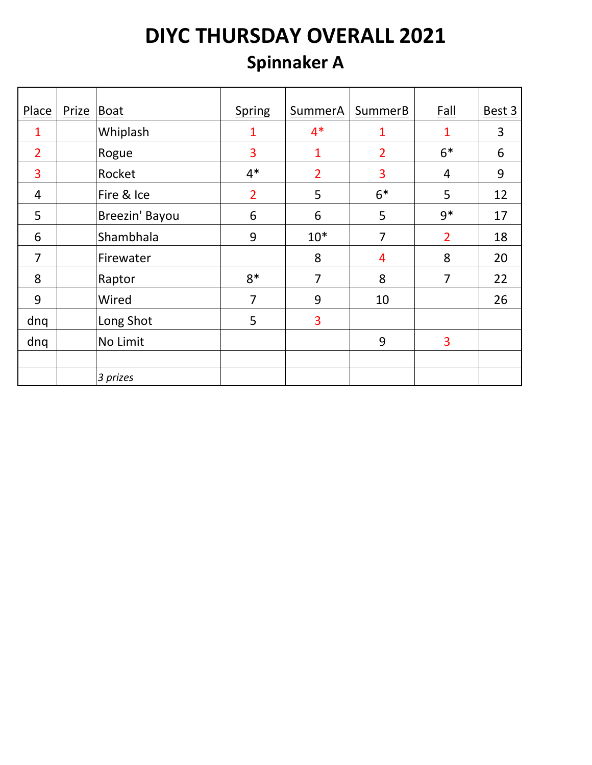### **Spinnaker A**

| Place          | Prize | Boat           | <b>Spring</b>  | SummerA        | SummerB        | <b>Fall</b>    | Best 3 |
|----------------|-------|----------------|----------------|----------------|----------------|----------------|--------|
| 1              |       | Whiplash       | 1              | $4*$           | 1              | 1              | 3      |
| $\overline{2}$ |       | Rogue          | 3              | $\mathbf{1}$   | $\overline{2}$ | $6*$           | 6      |
| $\overline{3}$ |       | Rocket         | $4*$           | $\overline{2}$ | 3              | 4              | 9      |
| 4              |       | Fire & Ice     | $\overline{2}$ | 5              | $6*$           | 5              | 12     |
| 5              |       | Breezin' Bayou | 6              | 6              | 5              | $9*$           | 17     |
| 6              |       | Shambhala      | 9              | $10*$          | 7              | $\overline{2}$ | 18     |
| $\overline{7}$ |       | Firewater      |                | 8              | 4              | 8              | 20     |
| 8              |       | Raptor         | $8*$           | $\overline{7}$ | 8              | 7              | 22     |
| 9              |       | Wired          | 7              | 9              | 10             |                | 26     |
| dnq            |       | Long Shot      | 5              | 3              |                |                |        |
| dnq            |       | No Limit       |                |                | 9              | 3              |        |
|                |       |                |                |                |                |                |        |
|                |       | 3 prizes       |                |                |                |                |        |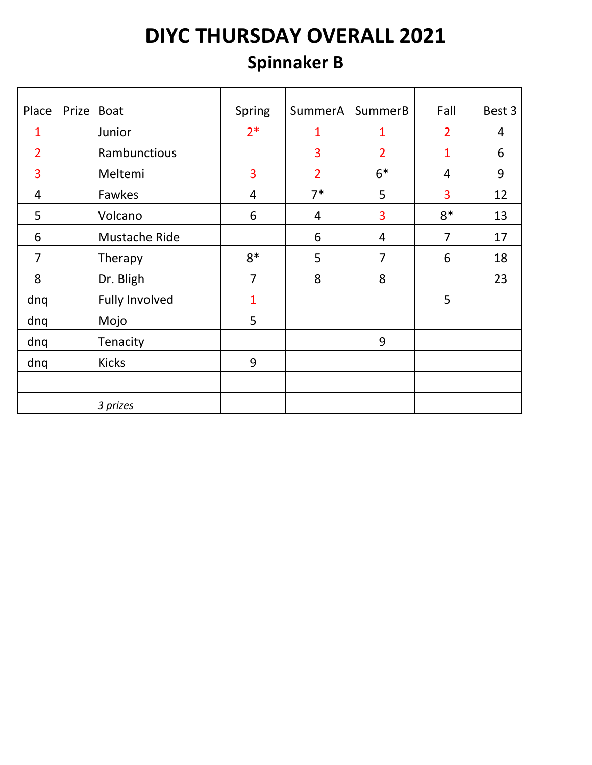### **Spinnaker B**

| Place          | <b>Prize</b> | Boat                  | <b>Spring</b>  | SummerA        | <b>SummerB</b> | <b>Fall</b>    | Best 3 |
|----------------|--------------|-----------------------|----------------|----------------|----------------|----------------|--------|
| 1              |              | Junior                | $2*$           | 1              | 1              | $\overline{2}$ | 4      |
| $\overline{2}$ |              | Rambunctious          |                | 3              | $\overline{2}$ | 1              | 6      |
| 3              |              | Meltemi               | 3              | $\overline{2}$ | $6*$           | $\overline{4}$ | 9      |
| 4              |              | Fawkes                | $\overline{4}$ | $7*$           | 5              | 3              | 12     |
| 5              |              | Volcano               | 6              | $\overline{4}$ | 3              | $8*$           | 13     |
| 6              |              | Mustache Ride         |                | 6              | 4              | $\overline{7}$ | 17     |
| $\overline{7}$ |              | Therapy               | $8*$           | 5              | 7              | 6              | 18     |
| 8              |              | Dr. Bligh             | $\overline{7}$ | 8              | 8              |                | 23     |
| dnq            |              | <b>Fully Involved</b> | 1              |                |                | 5              |        |
| dnq            |              | Mojo                  | 5              |                |                |                |        |
| dnq            |              | Tenacity              |                |                | 9              |                |        |
| dnq            |              | <b>Kicks</b>          | 9              |                |                |                |        |
|                |              |                       |                |                |                |                |        |
|                |              | 3 prizes              |                |                |                |                |        |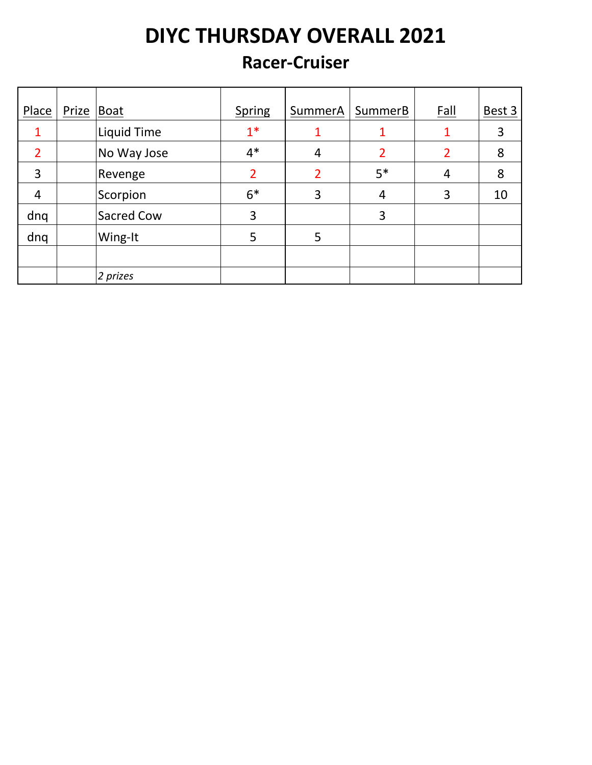#### **Racer-Cruiser**

| Place          | Prize Boat |             | <b>Spring</b>  | <b>SummerA</b> | SummerB | <u>Fall</u> | Best 3 |
|----------------|------------|-------------|----------------|----------------|---------|-------------|--------|
|                |            | Liquid Time | $1*$           |                |         |             | 3      |
| $\overline{2}$ |            | No Way Jose | $4*$           | 4              | 2       | 2           | 8      |
| 3              |            | Revenge     | $\overline{2}$ | $\overline{2}$ | $5*$    | 4           | 8      |
| 4              |            | Scorpion    | $6*$           | 3              | 4       | 3           | 10     |
| dnq            |            | Sacred Cow  | 3              |                | 3       |             |        |
| dnq            |            | Wing-It     | 5              | 5              |         |             |        |
|                |            |             |                |                |         |             |        |
|                |            | 2 prizes    |                |                |         |             |        |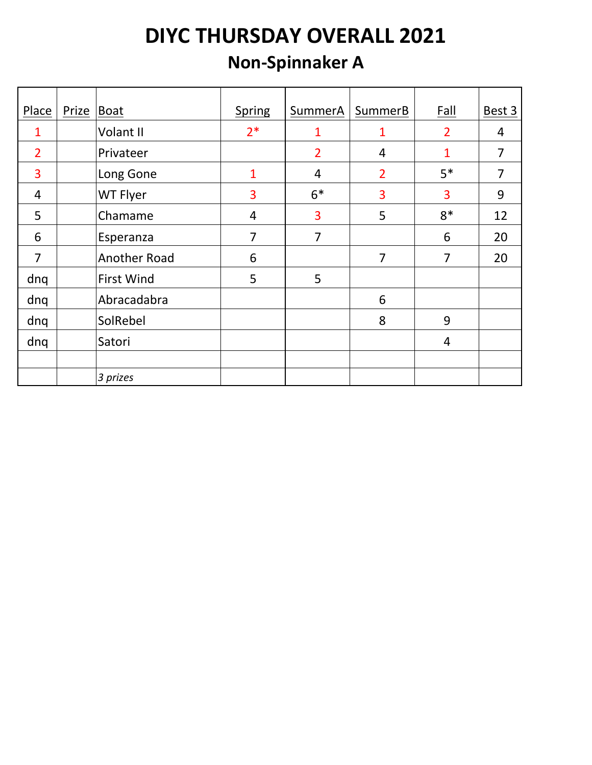### **Non-Spinnaker A**

| Place          | Prize | Boat                | <b>Spring</b> | SummerA        | SummerB        | <b>Fall</b>    | Best 3 |
|----------------|-------|---------------------|---------------|----------------|----------------|----------------|--------|
| 1              |       | Volant II           | $2*$          | 1              | 1              | $\overline{2}$ | 4      |
| $\overline{2}$ |       | Privateer           |               | $\overline{2}$ | 4              | 1              | 7      |
| 3              |       | Long Gone           | $\mathbf{1}$  | $\overline{4}$ | $\overline{2}$ | $5*$           | 7      |
| $\overline{4}$ |       | WT Flyer            | 3             | $6*$           | 3              | 3              | 9      |
| 5              |       | Chamame             | 4             | 3              | 5              | $8*$           | 12     |
| 6              |       | Esperanza           | 7             | 7              |                | 6              | 20     |
| $\overline{7}$ |       | <b>Another Road</b> | 6             |                | 7              | 7              | 20     |
| dnq            |       | <b>First Wind</b>   | 5             | 5              |                |                |        |
| dnq            |       | Abracadabra         |               |                | 6              |                |        |
| dnq            |       | SolRebel            |               |                | 8              | 9              |        |
| dnq            |       | Satori              |               |                |                | 4              |        |
|                |       |                     |               |                |                |                |        |
|                |       | 3 prizes            |               |                |                |                |        |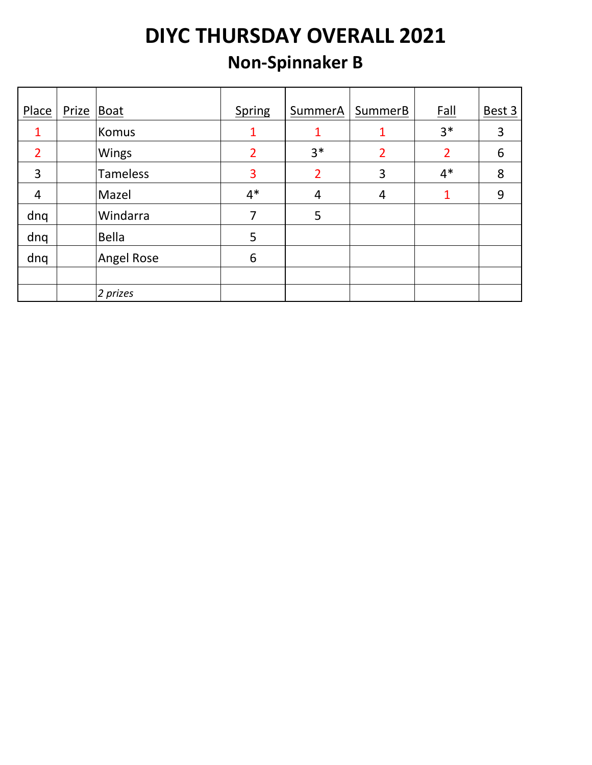### **Non-Spinnaker B**

| Place          | Prize | Boat              | <b>Spring</b>  | SummerA        | SummerB        | <u>Fall</u>    | Best 3 |
|----------------|-------|-------------------|----------------|----------------|----------------|----------------|--------|
|                |       | Komus             | 1              | 1              |                | $3*$           | 3      |
| $\overline{2}$ |       | Wings             | $\overline{2}$ | $3*$           | $\overline{2}$ | $\overline{2}$ | 6      |
| 3              |       | <b>Tameless</b>   | 3              | $\overline{2}$ | 3              | $4*$           | 8      |
| 4              |       | Mazel             | $4*$           | $\overline{4}$ | 4              |                | 9      |
| dnq            |       | Windarra          | 7              | 5              |                |                |        |
| dnq            |       | <b>Bella</b>      | 5              |                |                |                |        |
| dnq            |       | <b>Angel Rose</b> | 6              |                |                |                |        |
|                |       |                   |                |                |                |                |        |
|                |       | 2 prizes          |                |                |                |                |        |